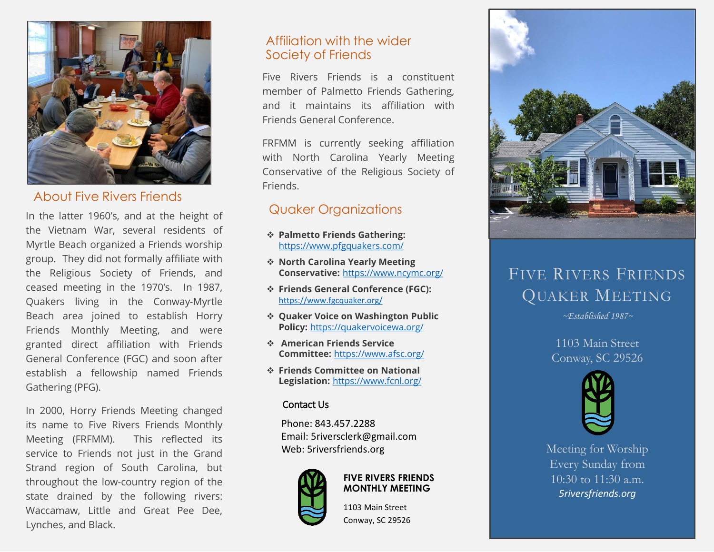

### About Five Rivers Friends

In the latter 1960's, and at the height of the Vietnam War, several residents of Myrtle Beach organized a Friends worship group. They did not formally affiliate with the Religious Society of Friends, and ceased meeting in the 1970's. In 1987, Quakers living in the Conway-Myrtle Beach area joined to establish Horry Friends Monthly Meeting, and were granted direct affiliation with Friends General Conference (FGC) and soon after establish a fellowship named Friends Gathering (PFG).

In 2000, Horry Friends Meeting changed its name to Five Rivers Friends Monthly Meeting (FRFMM). This reflected its service to Friends not just in the Grand Strand region of South Carolina, but throughout the low-country region of the state drained by the following rivers: Waccamaw, Little and Great Pee Dee, Lynches, and Black..

## Affiliation with the wider Society of Friends

Five Rivers Friends is a constituent member of Palmetto Friends Gathering, and it maintains its affiliation with Friends General Conference.

FRFMM is currently seeking affiliation with North Carolina Yearly Meeting Conservative of the Religious Society of Friends.

# Quaker Organizations

- ❖ **Palmetto Friends Gathering:**  <https://www.pfgquakers.com/>
- ❖ **North Carolina Yearly Meeting Conservative:** <https://www.ncymc.org/>
- ❖ **Friends General Conference (FGC):** <https://www.fgcquaker.org/>
- ❖ **Quaker Voice on Washington Public Policy:** <https://quakervoicewa.org/>
- ❖ **American Friends Service Committee:** <https://www.afsc.org/>
- ❖ **Friends Committee on National Legislation:** <https://www.fcnl.org/>

### Contact Us

Phone: 843.457.2288 Email: 5riversclerk@gmail.com Web: 5riversfriends.org



### **FIVE RIVERS FRIENDS MONTHLY MEETING**

1103 Main Street Conway, SC 29526



# FIVE RIVERS FRIENDS QUAKER MEETING

*~Established 1987~*

1103 Main Street Conway, SC 29526



Meeting for Worship Every Sunday from 10:30 to 11:30 a.m. *5riversfriends.org*